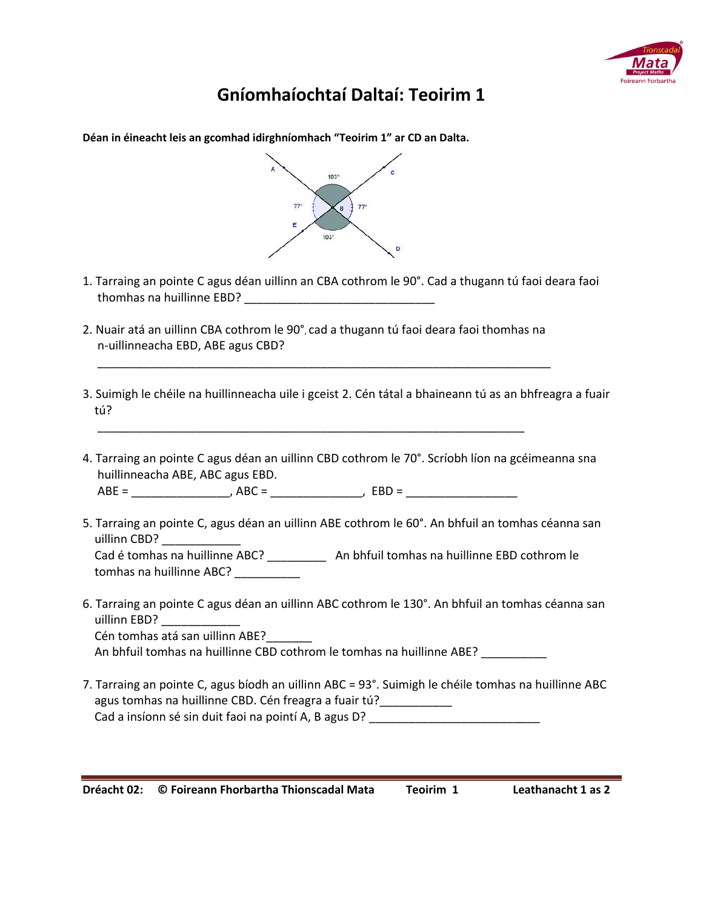

## **Gníomhaíochtaí Daltaí: Teoirim 1**

| Déan in éineacht leis an gcomhad idirghníomhach "Teoirim 1" ar CD an Dalta.                                                                                                                                                                                  |
|--------------------------------------------------------------------------------------------------------------------------------------------------------------------------------------------------------------------------------------------------------------|
| 103°<br>$77^\circ$<br>$77^\circ$<br>B<br>Ε<br>$103^\circ$<br>D                                                                                                                                                                                               |
| 1. Tarraing an pointe C agus déan uillinn an CBA cothrom le 90°. Cad a thugann tú faoi deara faoi                                                                                                                                                            |
| 2. Nuair atá an uillinn CBA cothrom le 90°, cad a thugann tú faoi deara faoi thomhas na<br>n-uillinneacha EBD, ABE agus CBD?                                                                                                                                 |
| 3. Suimigh le chéile na huillinneacha uile i gceist 2. Cén tátal a bhaineann tú as an bhfreagra a fuair<br>tú?                                                                                                                                               |
| 4. Tarraing an pointe C agus déan an uillinn CBD cothrom le 70°. Scríobh líon na gcéimeanna sna<br>huillinneacha ABE, ABC agus EBD.                                                                                                                          |
| 5. Tarraing an pointe C, agus déan an uillinn ABE cothrom le 60°. An bhfuil an tomhas céanna san<br>uillinn CBD?<br>Cad é tomhas na huillinne ABC? ____________ An bhfuil tomhas na huillinne EBD cothrom le<br>tomhas na huillinne ABC? _________           |
| 6. Tarraing an pointe C agus déan an uillinn ABC cothrom le 130°. An bhfuil an tomhas céanna san<br>uillinn EBD?<br>Cén tomhas atá san uillinn ABE?<br>An bhfuil tomhas na huillinne CBD cothrom le tomhas na huillinne ABE?                                 |
| 7. Tarraing an pointe C, agus bíodh an uillinn ABC = 93°. Suimigh le chéile tomhas na huillinne ABC<br>agus tomhas na huillinne CBD. Cén freagra a fuair tú?____________<br>Cad a insíonn sé sin duit faoi na pointí A, B agus D? __________________________ |

**Dréacht 02: © Foireann Fhorbartha Thionscadal Mata Teoirim 1 Leathanacht 1 as 2** 

J,